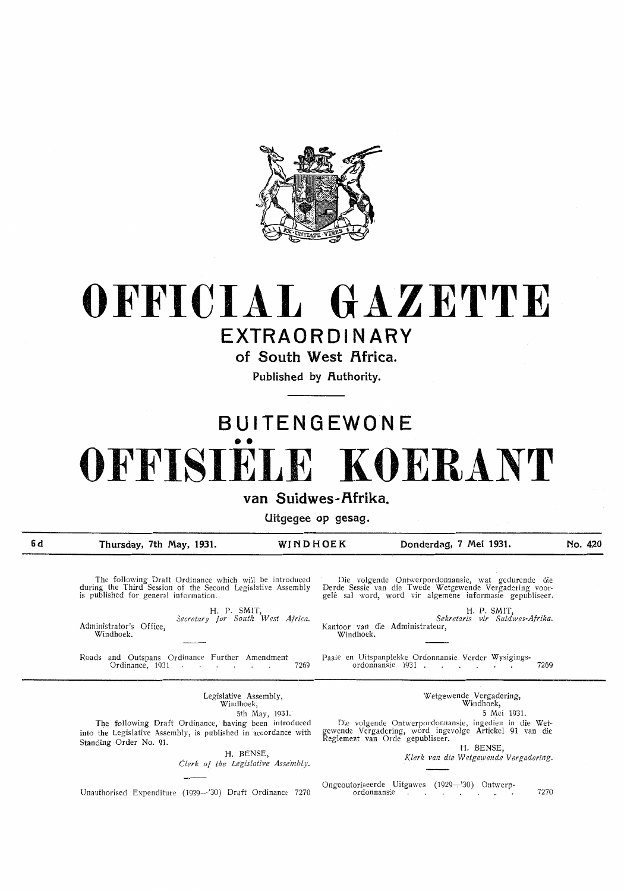

# **OFFICIAL GAZETTE**

## **EXTRAORDINARY**

of South West Africa.

Published by Authority.

# **BUITENGEWONE**  •• **OFFISIELE KOERANT**

#### van Suidwes-Afrika.

**Uitgegee op gesag.** 

**6d** 

**Thursday, 7th May, 1931. WINDHOEK Donderdag, 7 Mei 1931.** 

Administrator's Office, Windhoek.

**No. 420** 

The following Draft Ordinance which will be introduced during the Third Session of the Second Legislative Assembiy is published for general information.

> **H.** P. SMIT, *Secretary for South West Africa.*

Roads and Outspans Ordinance Further Amendment Paaie en Uitspanplekke Ordonnansie Verder Wysigings-

Die volgende Ontwerpordonnansie, wat gedurende die Derde Sessie van die Twede Wetgewende Vergadering voor-<br>gelê sal word, word vir algemene informasie gepubliseer.

**H.** P. SMIT, *Sekretaris vir Suidwes-Af rika.*  Kantoor van die Administrateur, Windhoek.

Ordinance, 1931 7269 ordonnansie 1931 . 7269

Legislative Assembly, Windhoek,

5th May, 1931.

The following Draft Ordinance, having been introduced into the Legislative Assembly, is published in accordance with Standing Order No. **91.** 

> H. BENSE, *Clerk of the Legislative Assembly.*

Unauthorised Expenditure (1929–'30) Draft Ordinance 7270 ordonnansie 7. The Contract of the T270

Wetgewende Vergadering, Windhoek,

5 Mei 1931.

Die volgende Ontwerpordonnansie, ingedien in die Wetgewende Vergadering, word ingevolge Artiekel 91 van die Reglement van Orde gepubliseer.

**H.** BENSE,

 $Klerk$  van die Wetgewende Vergadering.

Ongeoutoriseerde Uitgawes (1929---'30) Ontwerp-<br>ordonnansie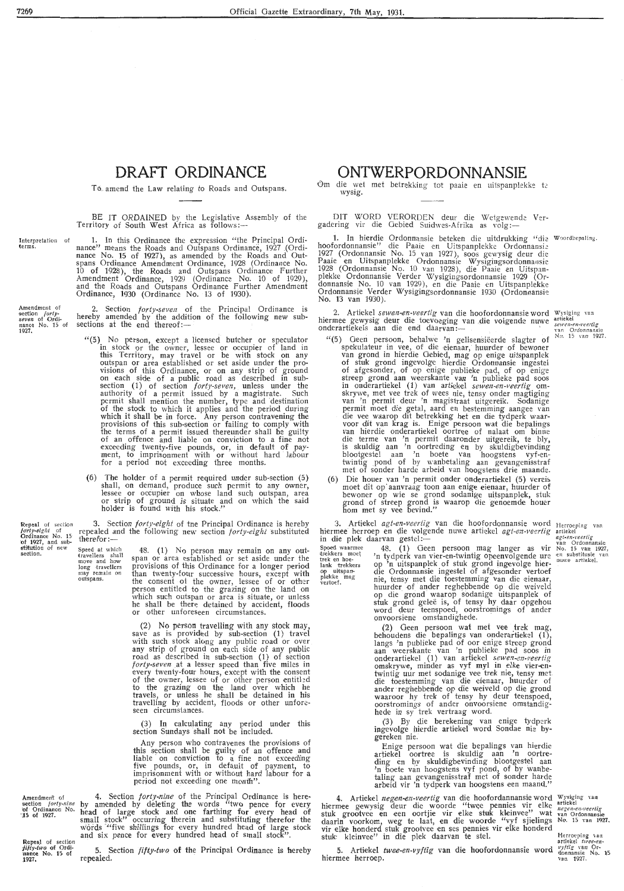7269

#### **DRAFT ORDINANCE**

To amend the Law relating to Roads and Outspans.

BE IT ORDAINED by the Legislative Assembly of the Territory of South West Africa as follows:—

Interpretation of<br>terms.

1927.

section.

1. In this Ordinance the expression "the Principal Ordinance" means the Roads and Outspans Ordinance, 1927 .(Ordi- nance No. 15 of 1927), as amended by the Roads and Outspans Ordinance Amendment Ordinance, 1928 (Ordinance No. 10 of 1928), the Roads and Outspans Ordinance Further Amendment Ordinance, 1929 (Ordinance No. 10 of 1929), and the Roads and Outspans Ordinance Further Amendment Ordinance, 1930 (Ordinance No. 13 of 1930).

Amendment of<br>section *fortyseven* of Ordi-<br>nance No. 15 of 2. Section *forty-seven* of the Principal Ordinance is hereby amended by the addition of the following new sub-<br>sections at the end thereof:---

- " (5) No person, except a licensed butcher or speculator in stock or the owner, lessee or occupier of land in this Territory, may travel or be with stock on any outspan or area established or set aside under the provisions of this Ordinance, or on any strip of ground on each side of a public road as described in subsection (1) of section *forty-seven,* unless under the authority of a permit issued by a magistrate. Such permit shall mention the number, type and 'destination of the stock to which it applies and the period during which it shall be in force. Any person contravening the provisions of this sub-section or failing to comply with the terms of a permit issued thereunder shall be guilty of an offence and liable on conviction to a fine not exceeding twenty-five pounds, or, in default of payment, to imprisonment with or without hard labour for a period not exceeding three months.
- (6) The holder of a permit required under sub-section (5) shall, on demand, produce such permit to any owner, lessee or occupier on whose land such outspan, area or strip of ground is situate and on which the said holder is found with his stock."

Repeal of section  $forty\text{-}elght$  of Ordinance No. 15 of 1927, and substitution of new 3. Section *forty-eight* of tne Principal Ordinance is hereby repealed and the following new section *forty-eight* substituted therefor:-

Speed at which<br>travellers shall<br>move and how long travellers<br>may remain on<br>outspans.

48. (1) No person may remain on any outspan or area established or set aside under the provisions of this Ordinance for a longer period than twenty-four successive hours, except with the consent ot the owner, lessee of or other person entitled to the grazing on the land on which such outspan or area is situate, or unless he shall be there detained by accident, floods or other unforeseen circumstances.

(2) No person travelling with any stock may, save as is provided by sub-section (1) travel with such stock along any public road or over any strip of ground on each side of any public road as described in sub-section  $(1)$  of section *forty-seven* at a lesser speed than five miles in every twenty-four hours, except with the consent of the owner, lessee of or other person entitled to the grazing on the land over which he travels, or unless he shall be detained in his trave lling by accident, floods or other unfore- seen circumstances.

(3) In calculating any period under this section Sundays shall not be included.

Any person who contravenes the provisions of this section shall be guilty of an offence and liable on conviction to a fine not exceeding five pounds, or, in default of payment, to imprisonment with or without hard labour for a period not exceeding one month".

Amendment of section *forty-uine*<br>
of Ordinance No.<br> **15 of 1927.** 4. Section *forty-nine* of the Principal Ordinance is hereby amended by deleting the words "two pence for every head of large stock and one farthing for every head of small stock" occurring therein and substituting therefor the words "five shillings for every hundred head of large stock and six pence for every hundred head of small stock".

Repeal of section *fifty-two* of Ordi-<br>nance No. 15 of<br>1927. 5. Section *fifty-two* of the Principal Ordinance is hereby **repealed.** 

#### **ONTWERPORDONNANSIE**

Om die wet met betrekking tot paaie en uitspanplekke te wysig.

DIT WORD VERORDEN deur die Wetgewende Ver-<br>gadering vir die Gebied Suidwes-Afrika as volg:gadering vir die Gebied Suidwes-Afrika as volg:—

1. In hierdie Ordonnansie beteken die uitdrukking "die hoofordonnansie" die Paaie en Uitspanplekke Ordonnansie 1927 (Ordonnansie No. 15 van 1927), soos gewysig deur die Paaie en Uitspanplekke Ordonnansie Wysigingsordonna nsie 1928 (Ordonnansie No. 10 van 1928), die Paaie en Uitspan-<br>plekke Ordonnansie Verder Wysigingsordonnansie 1929 (Ordonnansie No. 10 van 1929), en die Paaie en Uitspanplekke Ordonnansie V.erder Wysigingsordonnansie 1930 (Ordonnansie No. l3 van 1930).

2. Artiekel *sewen-en-veertig* van die hoofordonnansie word 2. Artiekel sewen-en-veertig van die hoofordonnansie word Wysiging van hiermee gewysig deur die toevoeging van die volgende nuwe artiekel *sewen-en-veertig* onderartiekels aan die end daarvan :- ' ' ' ' ' ' ' ' ' ' ' ' ' '

van Ordonnansie<br>No. 15 van 1927,

**Woordbepalling**.

- "(5) Geen persoon, behalwe 'n gelisensieerde slagter of spekulateur in vee, of die eienaar, huurder of bewoner<br>van grond in hierdie Gebied, mag op enige uitspanplek of stuk grond ingevolge hierdie Ordonnansie ingestel of afgesonder, of op enige publieke pad, of op enige streep grond aan weerskante van 'n publieke pad soos<br>in onderartiekel (1) van artiekel *sewen-en-veertig* om-<br>skrywe, met vee trek of wees nie, tensy onder magtiging<br>van 'n permit deur 'n magistraat uitgereik. Sodanige permit moet die getal, aard en bestemming aangee van die vee waarop dit betrekking het en die tydperk waar- voor dit van krag is. Enige persoon wat die bepalings van hierdie onderartiekel oortree of nalaat om binne die terme van 'n permit daaronder uitgereik, te bly, is skuldig aan 'n oortreding en by skuldigbevinding blootgestel aan 'n boete van hoogstens vyf-en- twintig \_pond of by wanbetaling aan gevangenisstraf met of sander harde arbeid van hoogstens drie maande.
- (6) Die houer van 'n permit onder onderartiekel (5) vereis moet dit op aanvraag toon aan enige eienaar, huurder of bewoner op wie se grond sodanige uitspanplek, stuk<br>grond of streep grond is waarop die genoemde houer horn met sy vee bevind."

3. Artiekel *agt-en-veertig* van die hoofordonnansie word hiermee herroep en die volgende nuwe artiekel *agt-en-veerlig* van hiermee herroep en die volgende nuwe artiekel *agt-en-veerlig* artiekel<br>in die plek daarvan gestel :--

Spoed waarmee 48. (1) Geen persoon mag langer as vir trekkers moet 'n tydperk van vier-en-twintig opeenvolgende ure lank trekkers op 'n uitspanplek of stuk grond ingevolge hierop uitspan- die Ordonnansie ingestel of afgesonder vertoef plekke mag nie, tensy met die toestemming van die eienaar, huurder of ander reghebbende op die weiveld **op die grond . waarop sodanige uitspanplek of**  stuk grond gelee is, of tensy hy daar opgehou word deur teenspoed, oorstromings of ander **onvoorsiene omstandighede.** 

> (2) Geen persoon wat met vee trek mag, behoudens die bepalings van onderartiekel  $(1)$ , langs 'n publieke pad of oor enige streep grond<br>aan weerskante van 'n publieke pad soos in onderartiekel (1) van artiekel *sewen-en-veertig* omskrywe, minder as vyf myl in elke vier-en-<br>twintig uur met sodanige vee trek nie, tensy met die toestemming van die eienaar, huurder of ander reghebbende op die weiveld op die grond waaroor hy trek of tensy hy deur teenspoed, oorstromings of ander onvoorsiene omstandighede in sy trek vertraag word.

> (3) By die berekening van enige tydperk ingevolge hierdie artiekel word Sondae nie by**gereken nie.**

> Enige persoon wat die bepalings van hierdie artiekel oortree is skuldig aan 'n oortreding en by skuldigbevinding blootgestel aan<br>'n boete van hoogstens vyf pond, of by wanbetaling aan gevangenisstraf met of sonder harde **arbeid vir 'n tydperk van hoogstens een maand."**

4. Artiekel *negen-en-veertig* van die hoofordannansie word **hiermee gewysig deur die woorde "twee pennies vir elke**  stuk grootvee en een oortjie vir elke stuk kleinvee" wat daarin voorkom, weg te laat, en die woorde "vyf sjielings vir elke honderd stuk grootvee en ses pennies vir elke honderd stuk kleinvee" in die plek daarvan te stel.

5. Artiekel *twee-en-vyftig* van die hoofordonnansie word **hiermee herroep.** 

**van Ordonnansie**<br> **No. 15 van 1927**,<br> **en substitusie** van **nuwe artiekel**.

**Herroeping** *van* **artiekel** *twee-en* 

Wysiging van<br>
artiekel<br> *negen-en-veertig*<br>
van Ordonnansie<br>
No, 15 van 1927.

*vyftig* van Or-<br>donnansie No. 15<br>van 1927.